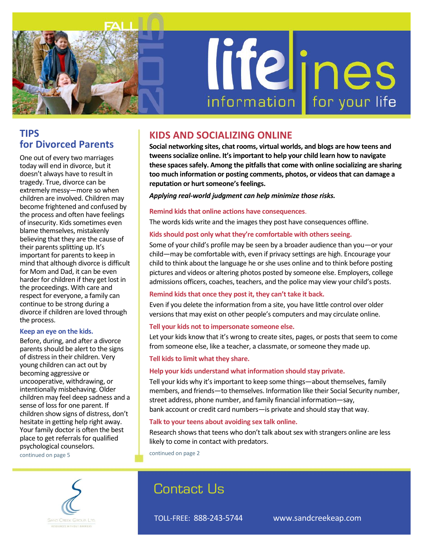# lifeljnes information for your life

# **TIPS for Divorced Parents**

One out of every two marriages today will end in divorce, but it doesn't always have to result in tragedy. True, divorce can be extremely messy—more so when children are involved. Children may become frightened and confused by the process and often have feelings of insecurity. Kids sometimes even blame themselves, mistakenly believing that they are the cause of their parents splitting up. It's important for parents to keep in mind that although divorce is difficult for Mom and Dad, it can be even harder for children if they get lost in the proceedings. With care and respect for everyone, a family can continue to be strong during a divorce if children are loved through the process.

#### **Keep an eye on the kids.**

Before, during, and after a divorce parents should be alert to the signs of distress in their children. Very young children can act out by becoming aggressive or uncooperative, withdrawing, or intentionally misbehaving. Older children may feel deep sadness and a sense of loss for one parent. If children show signs of distress, don't hesitate in getting help right away. Your family doctor is often the best place to get referrals for qualified psychological counselors.

continued on page 5

## **KIDS AND SOCIALIZING ONLINE**

**Social networking sites, chat rooms, virtual worlds, and blogs are how teens and tweens socialize online. It's important to help your child learn how to navigate these spaces safely. Among the pitfalls that come with online socializing are sharing too much information or posting comments, photos, or videos that can damage a reputation or hurt someone's feelings.**

#### *Applying real-world judgment can help minimize those risks.*

#### **Remind kids that online actions have consequences**.

The words kids write and the images they post have consequences offline.

#### **Kids should post only what they're comfortable with others seeing.**

Some of your child's profile may be seen by a broader audience than you—or your child—may be comfortable with, even if privacy settings are high. Encourage your child to think about the language he or she uses online and to think before posting pictures and videos or altering photos posted by someone else. Employers, college admissions officers, coaches, teachers, and the police may view your child's posts.

#### **Remind kids that once they post it, they can't take it back.**

Even if you delete the information from a site, you have little control over older versions that may exist on other people's computers and may circulate online.

#### **Tell your kids not to impersonate someone else.**

Let your kids know that it's wrong to create sites, pages, or posts that seem to come from someone else, like a teacher, a classmate, or someone they made up.

#### **Tell kids to limit what they share.**

#### **Help your kids understand what information should stay private.**

Tell your kids why it's important to keep some things—about themselves, family members, and friends—to themselves. Information like their Social Security number, street address, phone number, and family financial information—say, bank account or credit card numbers—is private and should stay that way.

#### **Talk to your teens about avoiding sex talk online.**

Research shows that teens who don't talk about sex with strangers online are less likely to come in contact with predators.

continued on page 2

# SAND CREEK GROUP, LTD. RESOURCES WITHOUT BARRIERS

# Contact Us

TOLL-FREE: 888-243-5744 www.sandcreekeap.com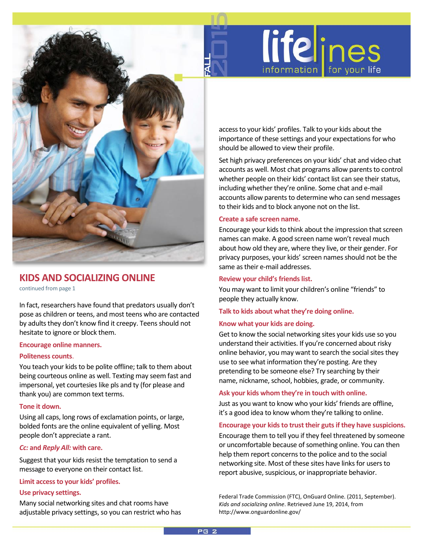

### **KIDS AND SOCIALIZING ONLINE**

continued from page 1

In fact, researchers have found that predators usually don't pose as children or teens, and most teens who are contacted by adults they don't know find it creepy. Teens should not hesitate to ignore or block them.

#### **Encourage online manners.**

#### **Politeness counts**.

You teach your kids to be polite offline; talk to them about being courteous online as well. Texting may seem fast and impersonal, yet courtesies like pls and ty (for please and thank you) are common text terms.

#### **Tone it down.**

Using all caps, long rows of exclamation points, or large, bolded fonts are the online equivalent of yelling. Most people don't appreciate a rant.

#### *Cc:* **and** *Reply All:* **with care.**

Suggest that your kids resist the temptation to send a message to everyone on their contact list.

#### **Limit access to your kids' profiles.**

#### **Use privacy settings.**

Many social networking sites and chat rooms have adjustable privacy settings, so you can restrict who has access to your kids' profiles. Talk to your kids about the importance of these settings and your expectations for who should be allowed to view their profile.

lifelines

information for your life

Set high privacy preferences on your kids' chat and video chat accounts as well. Most chat programs allow parents to control whether people on their kids' contact list can see their status, including whether they're online. Some chat and e-mail accounts allow parents to determine who can send messages to their kids and to block anyone not on the list.

#### **Create a safe screen name.**

Encourage your kids to think about the impression that screen names can make. A good screen name won't reveal much about how old they are, where they live, or their gender. For privacy purposes, your kids' screen names should not be the same as their e-mail addresses.

#### **Review your child's friendslist.**

You may want to limit your children's online "friends" to people they actually know.

#### **Talk to kids about what they're doing online.**

#### **Know what your kids are doing.**

Get to know the social networking sites your kids use so you understand their activities. If you're concerned about risky online behavior, you may want to search the social sites they use to see what information they're posting. Are they pretending to be someone else? Try searching by their name, nickname, school, hobbies, grade, or community.

#### **Ask your kids whom they're in touch with online.**

Just as you want to know who your kids' friends are offline, it's a good idea to know whom they're talking to online.

#### **Encourage your kids to trust their guts if they have suspicions.**

Encourage them to tell you if they feel threatened by someone or uncomfortable because of something online. You can then help them report concerns to the police and to the social networking site. Most of these sites have links for users to report abusive, suspicious, or inappropriate behavior.

Federal Trade Commission (FTC), OnGuard Online. (2011, September). *Kids and socializing online*. Retrieved June 19, 2014, from http://www.onguardonline.gov/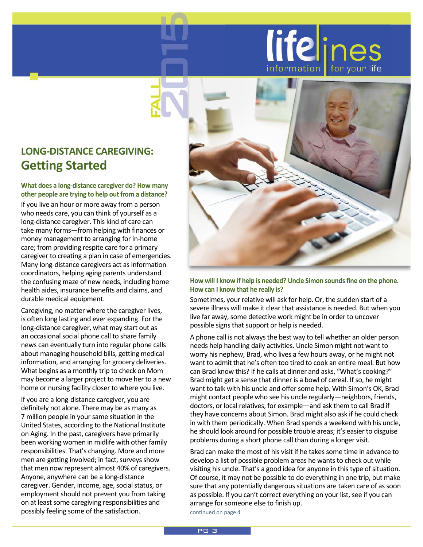# lifelines information

# **LONG-DISTANCE CAREGIVING: Getting Started**

#### **What does a long-distance caregiver do? How many other people are trying to help out from a distance?**

If you live an hour or more away from a person who needs care, you can think of yourself as a long-distance caregiver. This kind of care can take many forms—from helping with finances or money management to arranging for in-home care; from providing respite care for a primary caregiver to creating a plan in case of emergencies. Many long-distance caregivers act as information coordinators, helping aging parents understand the confusing maze of new needs, including home health aides, insurance benefits and claims, and durable medical equipment.

Caregiving, no matter where the caregiver lives, is often long lasting and ever expanding. For the long-distance caregiver, what may start out as an occasional social phone call to share family news can eventually turn into regular phone calls about managing household bills, getting medical information, and arranging for grocery deliveries. What begins as a monthly trip to check on Mom may become a larger project to move her to a new home or nursing facility closer to where you live.

If you are a long-distance caregiver, you are definitely not alone. There may be as many as 7 million people in your same situation in the United States, according to the National Institute on Aging. In the past, caregivers have primarily been working women in midlife with other family responsibilities. That's changing. More and more men are getting involved; in fact, surveys show that men now represent almost 40% of caregivers. Anyone, anywhere can be a long-distance caregiver. Gender, income, age, social status, or employment should not prevent you from taking on at least some caregiving responsibilities and possibly feeling some of the satisfaction.



**How will I know if help is needed? Uncle Simon sounds fine on the phone. How can I know that he really is?** 

Sometimes, your relative will ask for help. Or, the sudden start of a severe illness will make it clear that assistance is needed. But when you live far away, some detective work might be in order to uncover possible signs that support or help is needed.

A phone call is not always the best way to tell whether an older person needs help handling daily activities. Uncle Simon might not want to worry his nephew, Brad, who lives a few hours away, or he might not want to admit that he's often too tired to cook an entire meal. But how can Brad know this? If he calls at dinner and asks, "What's cooking?" Brad might get a sense that dinner is a bowl of cereal. If so, he might want to talk with his uncle and offer some help. With Simon's OK, Brad might contact people who see his uncle regularly—neighbors, friends, doctors, or local relatives, for example—and ask them to call Brad if they have concerns about Simon. Brad might also ask if he could check in with them periodically. When Brad spends a weekend with his uncle, he should look around for possible trouble areas; it's easier to disguise problems during a short phone call than during a longer visit.

Brad can make the most of his visit if he takes some time in advance to develop a list of possible problem areas he wants to check out while visiting his uncle. That's a good idea for anyone in this type of situation. Of course, it may not be possible to do everything in one trip, but make sure that any potentially dangerous situations are taken care of as soon as possible. If you can't correct everything on your list, see if you can arrange for someone else to finish up.

continued on page 4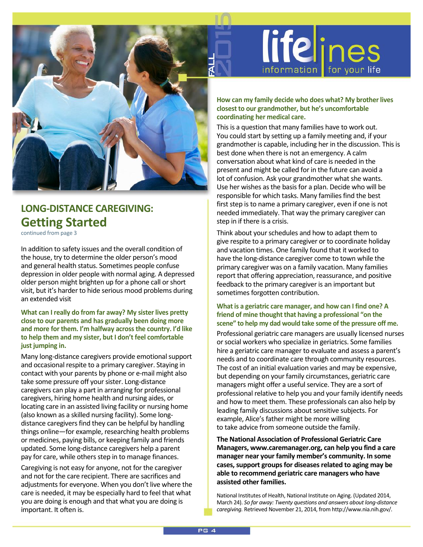

# **LONG-DISTANCE CAREGIVING: Getting Started**

continued from page 3

In addition to safety issues and the overall condition of the house, try to determine the older person's mood and general health status. Sometimes people confuse depression in older people with normal aging. A depressed older person might brighten up for a phone call or short visit, but it's harder to hide serious mood problems during an extended visit

#### **What can I really do from far away? My sister lives pretty close to our parents and has gradually been doing more and more for them. I'm halfway across the country. I'd like to help them and my sister, but I don't feel comfortable just jumping in.**

Many long-distance caregivers provide emotional support and occasional respite to a primary caregiver. Staying in contact with your parents by phone or e-mail might also take some pressure off your sister. Long-distance caregivers can play a part in arranging for professional caregivers, hiring home health and nursing aides, or locating care in an assisted living facility or nursing home (also known as a skilled nursing facility). Some longdistance caregivers find they can be helpful by handling things online—for example, researching health problems or medicines, paying bills, or keeping family and friends updated. Some long-distance caregivers help a parent pay for care, while others step in to manage finances.

Caregiving is not easy for anyone, not for the caregiver and not for the care recipient. There are sacrifices and adjustments for everyone. When you don't live where the care is needed, it may be especially hard to feel that what you are doing is enough and that what you are doing is important. It often is.



#### **How can my family decide who does what? My brother lives closest to our grandmother, but he's uncomfortable coordinating her medical care.**

This is a question that many families have to work out. You could start by setting up a family meeting and, if your grandmother is capable, including her in the discussion. This is best done when there is not an emergency. A calm conversation about what kind of care is needed in the present and might be called for in the future can avoid a lot of confusion. Ask your grandmother what she wants. Use her wishes as the basis for a plan. Decide who will be responsible for which tasks. Many families find the best first step is to name a primary caregiver, even if one is not needed immediately. That way the primary caregiver can step in if there is a crisis.

Think about your schedules and how to adapt them to give respite to a primary caregiver or to coordinate holiday and vacation times. One family found that it worked to have the long-distance caregiver come to town while the primary caregiver was on a family vacation. Many families report that offering appreciation, reassurance, and positive feedback to the primary caregiver is an important but sometimes forgotten contribution.

#### **What is a geriatric care manager, and how can I find one? A friend of mine thought that having a professional "on the scene" to help my dad would take some of the pressure off me.**

Professional geriatric care managers are usually licensed nurses or social workers who specialize in geriatrics. Some families hire a geriatric care manager to evaluate and assess a parent's needs and to coordinate care through community resources. The cost of an initial evaluation varies and may be expensive, but depending on your family circumstances, geriatric care managers might offer a useful service. They are a sort of professional relative to help you and your family identify needs and how to meet them. These professionals can also help by leading family discussions about sensitive subjects. For example, Alice's father might be more willing to take advice from someone outside the family.

**The National Association of Professional Geriatric Care Managers, www.caremanager.org, can help you find a care manager near your family member's community. In some cases, support groups for diseases related to aging may be able to recommend geriatric care managers who have assisted other families.**

National Institutes of Health, National Institute on Aging. (Updated 2014, March 24). *So far away: Twenty questions and answers about long-distance caregiving.* Retrieved November 21, 2014, from http://www.nia.nih.gov/.